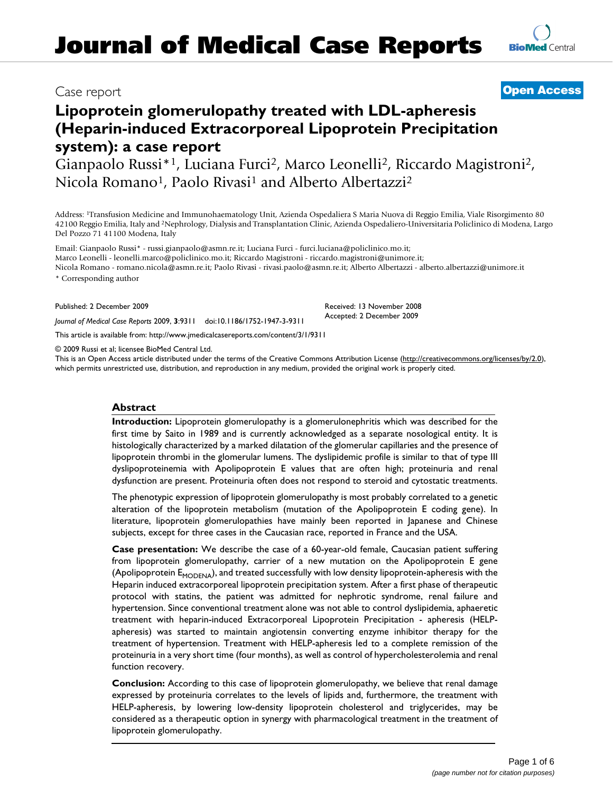# Case report **[Open Access](http://www.biomedcentral.com/info/about/charter/)**

# **Lipoprotein glomerulopathy treated with LDL-apheresis (Heparin-induced Extracorporeal Lipoprotein Precipitation system): a case report**

Gianpaolo Russi\*1, Luciana Furci2, Marco Leonelli2, Riccardo Magistroni2, Nicola Romano<sup>1</sup>, Paolo Rivasi<sup>1</sup> and Alberto Albertazzi<sup>2</sup>

Address: 1Transfusion Medicine and Immunohaematology Unit, Azienda Ospedaliera S Maria Nuova di Reggio Emilia, Viale Risorgimento 80 42100 Reggio Emilia, Italy and 2Nephrology, Dialysis and Transplantation Clinic, Azienda Ospedaliero-Universitaria Policlinico di Modena, Largo Del Pozzo 71 41100 Modena, Italy

Email: Gianpaolo Russi\* - russi.gianpaolo@asmn.re.it; Luciana Furci - furci.luciana@policlinico.mo.it; Marco Leonelli - leonelli.marco@policlinico.mo.it; Riccardo Magistroni - riccardo.magistroni@unimore.it; Nicola Romano - romano.nicola@asmn.re.it; Paolo Rivasi - rivasi.paolo@asmn.re.it; Alberto Albertazzi - alberto.albertazzi@unimore.it

\* Corresponding author

Published: 2 December 2009

*Journal of Medical Case Reports* 2009, **3**:9311 doi:10.1186/1752-1947-3-9311

[This article is available from: http://www.jmedicalcasereports.com/content/3/1/9311](http://www.jmedicalcasereports.com/content/3/1/9311)

© 2009 Russi et al; licensee BioMed Central Ltd.

This is an Open Access article distributed under the terms of the Creative Commons Attribution License [\(http://creativecommons.org/licenses/by/2.0\)](http://creativecommons.org/licenses/by/2.0), which permits unrestricted use, distribution, and reproduction in any medium, provided the original work is properly cited.

# **Abstract**

**Introduction:** Lipoprotein glomerulopathy is a glomerulonephritis which was described for the first time by Saito in 1989 and is currently acknowledged as a separate nosological entity. It is histologically characterized by a marked dilatation of the glomerular capillaries and the presence of lipoprotein thrombi in the glomerular lumens. The dyslipidemic profile is similar to that of type III dyslipoproteinemia with Apolipoprotein E values that are often high; proteinuria and renal dysfunction are present. Proteinuria often does not respond to steroid and cytostatic treatments.

The phenotypic expression of lipoprotein glomerulopathy is most probably correlated to a genetic alteration of the lipoprotein metabolism (mutation of the Apolipoprotein E coding gene). In literature, lipoprotein glomerulopathies have mainly been reported in Japanese and Chinese subjects, except for three cases in the Caucasian race, reported in France and the USA.

**Case presentation:** We describe the case of a 60-year-old female, Caucasian patient suffering from lipoprotein glomerulopathy, carrier of a new mutation on the Apolipoprotein E gene (Apolipoprotein E<sub>MODENA</sub>), and treated successfully with low density lipoprotein-apheresis with the Heparin induced extracorporeal lipoprotein precipitation system. After a first phase of therapeutic protocol with statins, the patient was admitted for nephrotic syndrome, renal failure and hypertension. Since conventional treatment alone was not able to control dyslipidemia, aphaeretic treatment with heparin-induced Extracorporeal Lipoprotein Precipitation - apheresis (HELPapheresis) was started to maintain angiotensin converting enzyme inhibitor therapy for the treatment of hypertension. Treatment with HELP-apheresis led to a complete remission of the proteinuria in a very short time (four months), as well as control of hypercholesterolemia and renal function recovery.

**Conclusion:** According to this case of lipoprotein glomerulopathy, we believe that renal damage expressed by proteinuria correlates to the levels of lipids and, furthermore, the treatment with HELP-apheresis, by lowering low-density lipoprotein cholesterol and triglycerides, may be considered as a therapeutic option in synergy with pharmacological treatment in the treatment of lipoprotein glomerulopathy.

Received: 13 November 2008 Accepted: 2 December 2009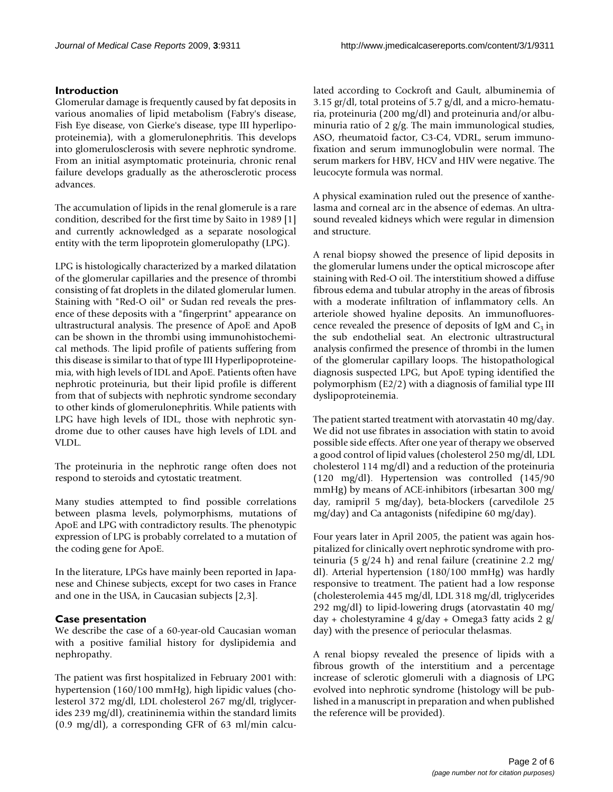# **Introduction**

Glomerular damage is frequently caused by fat deposits in various anomalies of lipid metabolism (Fabry's disease, Fish Eye disease, von Gierke's disease, type III hyperlipoproteinemia), with a glomerulonephritis. This develops into glomerulosclerosis with severe nephrotic syndrome. From an initial asymptomatic proteinuria, chronic renal failure develops gradually as the atherosclerotic process advances.

The accumulation of lipids in the renal glomerule is a rare condition, described for the first time by Saito in 1989 [1] and currently acknowledged as a separate nosological entity with the term lipoprotein glomerulopathy (LPG).

LPG is histologically characterized by a marked dilatation of the glomerular capillaries and the presence of thrombi consisting of fat droplets in the dilated glomerular lumen. Staining with "Red-O oil" or Sudan red reveals the presence of these deposits with a "fingerprint" appearance on ultrastructural analysis. The presence of ApoE and ApoB can be shown in the thrombi using immunohistochemical methods. The lipid profile of patients suffering from this disease is similar to that of type III Hyperlipoproteinemia, with high levels of IDL and ApoE. Patients often have nephrotic proteinuria, but their lipid profile is different from that of subjects with nephrotic syndrome secondary to other kinds of glomerulonephritis. While patients with LPG have high levels of IDL, those with nephrotic syndrome due to other causes have high levels of LDL and VLDL.

The proteinuria in the nephrotic range often does not respond to steroids and cytostatic treatment.

Many studies attempted to find possible correlations between plasma levels, polymorphisms, mutations of ApoE and LPG with contradictory results. The phenotypic expression of LPG is probably correlated to a mutation of the coding gene for ApoE.

In the literature, LPGs have mainly been reported in Japanese and Chinese subjects, except for two cases in France and one in the USA, in Caucasian subjects [2,3].

# **Case presentation**

We describe the case of a 60-year-old Caucasian woman with a positive familial history for dyslipidemia and nephropathy.

The patient was first hospitalized in February 2001 with: hypertension (160/100 mmHg), high lipidic values (cholesterol 372 mg/dl, LDL cholesterol 267 mg/dl, triglycerides 239 mg/dl), creatininemia within the standard limits (0.9 mg/dl), a corresponding GFR of 63 ml/min calculated according to Cockroft and Gault, albuminemia of 3.15 gr/dl, total proteins of 5.7 g/dl, and a micro-hematuria, proteinuria (200 mg/dl) and proteinuria and/or albuminuria ratio of 2 g/g. The main immunological studies, ASO, rheumatoid factor, C3-C4, VDRL, serum immunofixation and serum immunoglobulin were normal. The serum markers for HBV, HCV and HIV were negative. The leucocyte formula was normal.

A physical examination ruled out the presence of xanthelasma and corneal arc in the absence of edemas. An ultrasound revealed kidneys which were regular in dimension and structure.

A renal biopsy showed the presence of lipid deposits in the glomerular lumens under the optical microscope after staining with Red-O oil. The interstitium showed a diffuse fibrous edema and tubular atrophy in the areas of fibrosis with a moderate infiltration of inflammatory cells. An arteriole showed hyaline deposits. An immunofluorescence revealed the presence of deposits of IgM and  $C_3$  in the sub endothelial seat. An electronic ultrastructural analysis confirmed the presence of thrombi in the lumen of the glomerular capillary loops. The histopathological diagnosis suspected LPG, but ApoE typing identified the polymorphism (E2/2) with a diagnosis of familial type III dyslipoproteinemia.

The patient started treatment with atorvastatin 40 mg/day. We did not use fibrates in association with statin to avoid possible side effects. After one year of therapy we observed a good control of lipid values (cholesterol 250 mg/dl, LDL cholesterol 114 mg/dl) and a reduction of the proteinuria (120 mg/dl). Hypertension was controlled (145/90 mmHg) by means of ACE-inhibitors (irbesartan 300 mg/ day, ramipril 5 mg/day), beta-blockers (carvedilole 25 mg/day) and Ca antagonists (nifedipine 60 mg/day).

Four years later in April 2005, the patient was again hospitalized for clinically overt nephrotic syndrome with proteinuria (5  $g/24$  h) and renal failure (creatinine 2.2 mg/ dl). Arterial hypertension (180/100 mmHg) was hardly responsive to treatment. The patient had a low response (cholesterolemia 445 mg/dl, LDL 318 mg/dl, triglycerides 292 mg/dl) to lipid-lowering drugs (atorvastatin 40 mg/ day + cholestyramine 4 g/day + Omega3 fatty acids 2 g/ day) with the presence of periocular thelasmas.

A renal biopsy revealed the presence of lipids with a fibrous growth of the interstitium and a percentage increase of sclerotic glomeruli with a diagnosis of LPG evolved into nephrotic syndrome (histology will be published in a manuscript in preparation and when published the reference will be provided).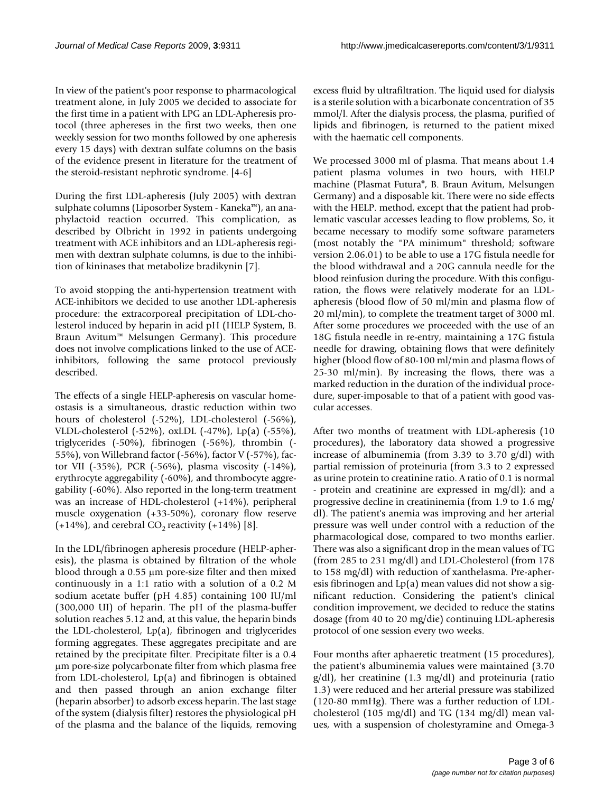In view of the patient's poor response to pharmacological treatment alone, in July 2005 we decided to associate for the first time in a patient with LPG an LDL-Apheresis protocol (three aphereses in the first two weeks, then one weekly session for two months followed by one apheresis every 15 days) with dextran sulfate columns on the basis of the evidence present in literature for the treatment of the steroid-resistant nephrotic syndrome. [4-6]

During the first LDL-apheresis (July 2005) with dextran sulphate columns (Liposorber System - Kaneka™), an anaphylactoid reaction occurred. This complication, as described by Olbricht in 1992 in patients undergoing treatment with ACE inhibitors and an LDL-apheresis regimen with dextran sulphate columns, is due to the inhibition of kininases that metabolize bradikynin [7].

To avoid stopping the anti-hypertension treatment with ACE-inhibitors we decided to use another LDL-apheresis procedure: the extracorporeal precipitation of LDL-cholesterol induced by heparin in acid pH (HELP System, B. Braun Avitum™ Melsungen Germany). This procedure does not involve complications linked to the use of ACEinhibitors, following the same protocol previously described.

The effects of a single HELP-apheresis on vascular homeostasis is a simultaneous, drastic reduction within two hours of cholesterol (-52%), LDL-cholesterol (-56%), VLDL-cholesterol (-52%), oxLDL (-47%), Lp(a) (-55%), triglycerides (-50%), fibrinogen (-56%), thrombin (- 55%), von Willebrand factor (-56%), factor V (-57%), factor VII (-35%), PCR (-56%), plasma viscosity (-14%), erythrocyte aggregability (-60%), and thrombocyte aggregability (-60%). Also reported in the long-term treatment was an increase of HDL-cholesterol (+14%), peripheral muscle oxygenation (+33-50%), coronary flow reserve  $(+14%)$ , and cerebral CO<sub>2</sub> reactivity  $(+14%)$  [8].

In the LDL/fibrinogen apheresis procedure (HELP-apheresis), the plasma is obtained by filtration of the whole blood through a 0.55 μm pore-size filter and then mixed continuously in a 1:1 ratio with a solution of a 0.2 M sodium acetate buffer (pH 4.85) containing 100 IU/ml (300,000 UI) of heparin. The pH of the plasma-buffer solution reaches 5.12 and, at this value, the heparin binds the LDL-cholesterol, Lp(a), fibrinogen and triglycerides forming aggregates. These aggregates precipitate and are retained by the precipitate filter. Precipitate filter is a 0.4 μm pore-size polycarbonate filter from which plasma free from LDL-cholesterol, Lp(a) and fibrinogen is obtained and then passed through an anion exchange filter (heparin absorber) to adsorb excess heparin. The last stage of the system (dialysis filter) restores the physiological pH of the plasma and the balance of the liquids, removing excess fluid by ultrafiltration. The liquid used for dialysis is a sterile solution with a bicarbonate concentration of 35 mmol/l. After the dialysis process, the plasma, purified of lipids and fibrinogen, is returned to the patient mixed with the haematic cell components.

We processed 3000 ml of plasma. That means about 1.4 patient plasma volumes in two hours, with HELP machine (Plasmat Futura®, B. Braun Avitum, Melsungen Germany) and a disposable kit. There were no side effects with the HELP. method, except that the patient had problematic vascular accesses leading to flow problems, So, it became necessary to modify some software parameters (most notably the "PA minimum" threshold; software version 2.06.01) to be able to use a 17G fistula needle for the blood withdrawal and a 20G cannula needle for the blood reinfusion during the procedure. With this configuration, the flows were relatively moderate for an LDLapheresis (blood flow of 50 ml/min and plasma flow of 20 ml/min), to complete the treatment target of 3000 ml. After some procedures we proceeded with the use of an 18G fistula needle in re-entry, maintaining a 17G fistula needle for drawing, obtaining flows that were definitely higher (blood flow of 80-100 ml/min and plasma flows of 25-30 ml/min). By increasing the flows, there was a marked reduction in the duration of the individual procedure, super-imposable to that of a patient with good vascular accesses.

After two months of treatment with LDL-apheresis (10 procedures), the laboratory data showed a progressive increase of albuminemia (from 3.39 to 3.70 g/dl) with partial remission of proteinuria (from 3.3 to 2 expressed as urine protein to creatinine ratio. A ratio of 0.1 is normal - protein and creatinine are expressed in mg/dl); and a progressive decline in creatininemia (from 1.9 to 1.6 mg/ dl). The patient's anemia was improving and her arterial pressure was well under control with a reduction of the pharmacological dose, compared to two months earlier. There was also a significant drop in the mean values of TG (from 285 to 231 mg/dl) and LDL-Cholesterol (from 178 to 158 mg/dl) with reduction of xanthelasma. Pre-apheresis fibrinogen and Lp(a) mean values did not show a significant reduction. Considering the patient's clinical condition improvement, we decided to reduce the statins dosage (from 40 to 20 mg/die) continuing LDL-apheresis protocol of one session every two weeks.

Four months after aphaeretic treatment (15 procedures), the patient's albuminemia values were maintained (3.70 g/dl), her creatinine (1.3 mg/dl) and proteinuria (ratio 1.3) were reduced and her arterial pressure was stabilized (120-80 mmHg). There was a further reduction of LDLcholesterol (105 mg/dl) and TG (134 mg/dl) mean values, with a suspension of cholestyramine and Omega-3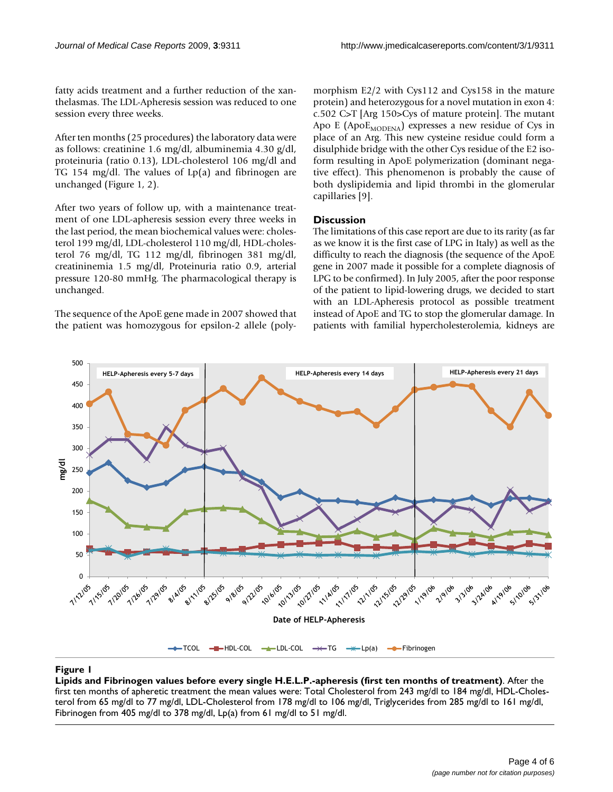fatty acids treatment and a further reduction of the xanthelasmas. The LDL-Apheresis session was reduced to one session every three weeks.

After ten months (25 procedures) the laboratory data were as follows: creatinine 1.6 mg/dl, albuminemia 4.30 g/dl, proteinuria (ratio 0.13), LDL-cholesterol 106 mg/dl and TG 154 mg/dl. The values of Lp(a) and fibrinogen are unchanged (Figure 1, 2).

After two years of follow up, with a maintenance treatment of one LDL-apheresis session every three weeks in the last period, the mean biochemical values were: cholesterol 199 mg/dl, LDL-cholesterol 110 mg/dl, HDL-cholesterol 76 mg/dl, TG 112 mg/dl, fibrinogen 381 mg/dl, creatininemia 1.5 mg/dl, Proteinuria ratio 0.9, arterial pressure 120-80 mmHg. The pharmacological therapy is unchanged.

The sequence of the ApoE gene made in 2007 showed that the patient was homozygous for epsilon-2 allele (polymorphism E2/2 with Cys112 and Cys158 in the mature protein) and heterozygous for a novel mutation in exon 4: c.502 C>T [Arg 150>Cys of mature protein]. The mutant Apo E (Apo $E_{MODENA}$ ) expresses a new residue of Cys in place of an Arg. This new cysteine residue could form a disulphide bridge with the other Cys residue of the E2 isoform resulting in ApoE polymerization (dominant negative effect). This phenomenon is probably the cause of both dyslipidemia and lipid thrombi in the glomerular capillaries [9].

#### **Discussion**

The limitations of this case report are due to its rarity (as far as we know it is the first case of LPG in Italy) as well as the difficulty to reach the diagnosis (the sequence of the ApoE gene in 2007 made it possible for a complete diagnosis of LPG to be confirmed). In July 2005, after the poor response of the patient to lipid-lowering drugs, we decided to start with an LDL-Apheresis protocol as possible treatment instead of ApoE and TG to stop the glomerular damage. In patients with familial hypercholesterolemia, kidneys are



# Lipids and Fibrinogen values before every single **Figure 1** H.E.L.P.-apheresis (first ten months of treatment)

**Lipids and Fibrinogen values before every single H.E.L.P.-apheresis (first ten months of treatment)**. After the first ten months of apheretic treatment the mean values were: Total Cholesterol from 243 mg/dl to 184 mg/dl, HDL-Cholesterol from 65 mg/dl to 77 mg/dl, LDL-Cholesterol from 178 mg/dl to 106 mg/dl, Triglycerides from 285 mg/dl to 161 mg/dl, Fibrinogen from 405 mg/dl to 378 mg/dl, Lp(a) from 61 mg/dl to 51 mg/dl.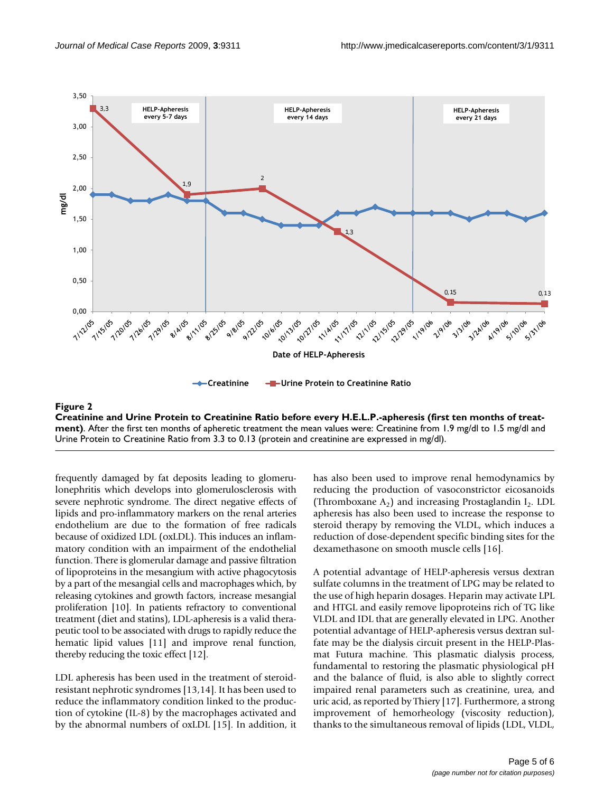

#### **Creatinine and Urine Protein to Creatinine Ratio before every H.E.L.P.-apheresis (first ten months of treat**ment). After the first ten months of apheretic treatment the mean values were: Creatinine from 1.9 mg/dl to 1.5 mg/dl and Urine Protein to Creatinine Ratio from 3.3 to 0.13 (protein and creatinine are expressed in mg/dl).

frequently damaged by fat deposits leading to glomerulonephritis which develops into glomerulosclerosis with severe nephrotic syndrome. The direct negative effects of lipids and pro-inflammatory markers on the renal arteries endothelium are due to the formation of free radicals because of oxidized LDL (oxLDL). This induces an inflammatory condition with an impairment of the endothelial function. There is glomerular damage and passive filtration of lipoproteins in the mesangium with active phagocytosis by a part of the mesangial cells and macrophages which, by releasing cytokines and growth factors, increase mesangial proliferation [10]. In patients refractory to conventional treatment (diet and statins), LDL-apheresis is a valid therapeutic tool to be associated with drugs to rapidly reduce the hematic lipid values [11] and improve renal function, thereby reducing the toxic effect [12].

LDL apheresis has been used in the treatment of steroidresistant nephrotic syndromes [13,14]. It has been used to reduce the inflammatory condition linked to the production of cytokine (IL-8) by the macrophages activated and by the abnormal numbers of oxLDL [15]. In addition, it

has also been used to improve renal hemodynamics by reducing the production of vasoconstrictor eicosanoids (Thromboxane  $A_2$ ) and increasing Prostaglandin I<sub>2</sub>. LDL apheresis has also been used to increase the response to steroid therapy by removing the VLDL, which induces a reduction of dose-dependent specific binding sites for the dexamethasone on smooth muscle cells [16].

A potential advantage of HELP-apheresis versus dextran sulfate columns in the treatment of LPG may be related to the use of high heparin dosages. Heparin may activate LPL and HTGL and easily remove lipoproteins rich of TG like VLDL and IDL that are generally elevated in LPG. Another potential advantage of HELP-apheresis versus dextran sulfate may be the dialysis circuit present in the HELP-Plasmat Futura machine. This plasmatic dialysis process, fundamental to restoring the plasmatic physiological pH and the balance of fluid, is also able to slightly correct impaired renal parameters such as creatinine, urea, and uric acid, as reported by Thiery [17]. Furthermore, a strong improvement of hemorheology (viscosity reduction), thanks to the simultaneous removal of lipids (LDL, VLDL,